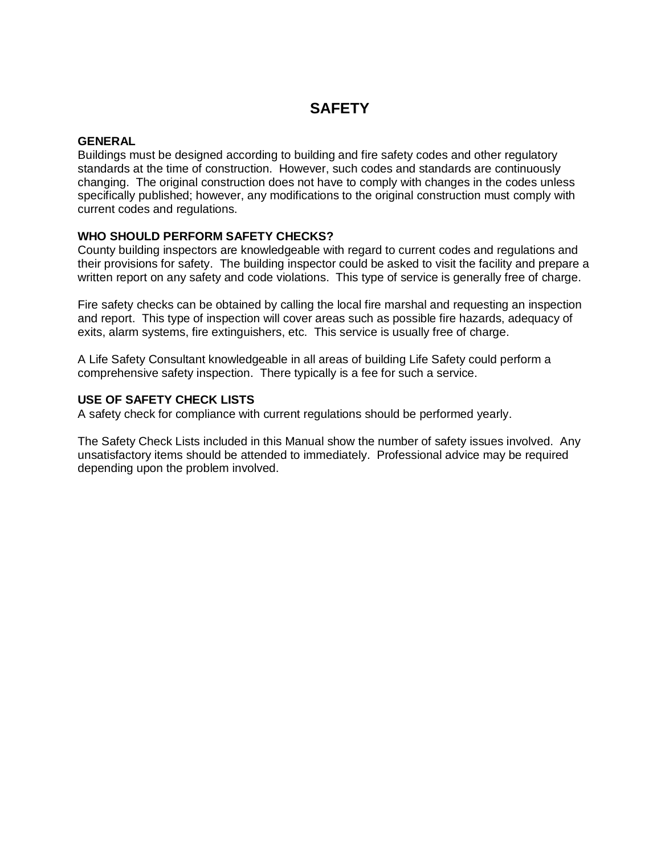## **SAFETY**

### **GENERAL**

Buildings must be designed according to building and fire safety codes and other regulatory standards at the time of construction. However, such codes and standards are continuously changing. The original construction does not have to comply with changes in the codes unless specifically published; however, any modifications to the original construction must comply with current codes and regulations.

### **WHO SHOULD PERFORM SAFETY CHECKS?**

County building inspectors are knowledgeable with regard to current codes and regulations and their provisions for safety. The building inspector could be asked to visit the facility and prepare a written report on any safety and code violations. This type of service is generally free of charge.

Fire safety checks can be obtained by calling the local fire marshal and requesting an inspection and report. This type of inspection will cover areas such as possible fire hazards, adequacy of exits, alarm systems, fire extinguishers, etc. This service is usually free of charge.

A Life Safety Consultant knowledgeable in all areas of building Life Safety could perform a comprehensive safety inspection. There typically is a fee for such a service.

#### **USE OF SAFETY CHECK LISTS**

A safety check for compliance with current regulations should be performed yearly.

The Safety Check Lists included in this Manual show the number of safety issues involved. Any unsatisfactory items should be attended to immediately. Professional advice may be required depending upon the problem involved.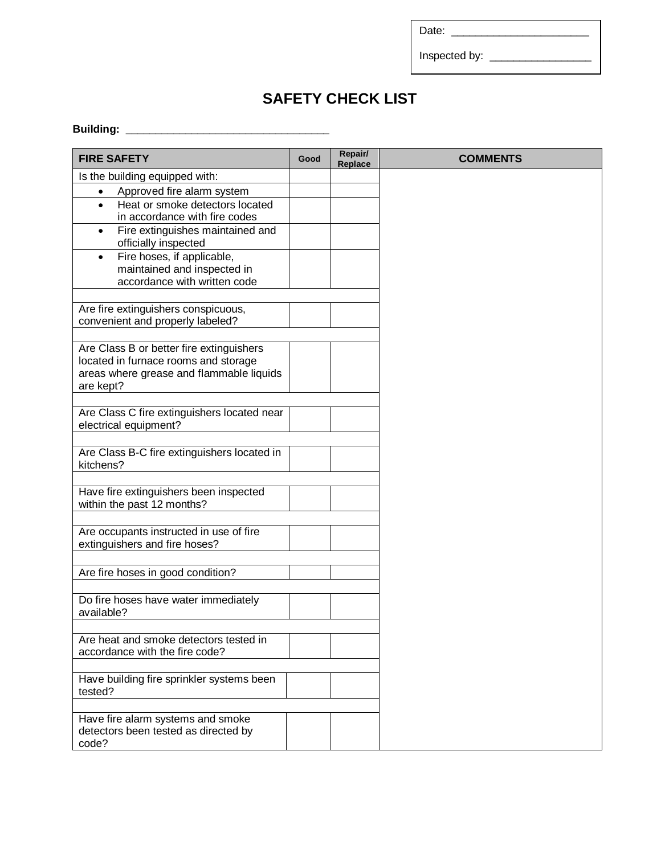Date: \_\_\_\_\_\_\_\_\_\_\_\_\_\_\_\_\_\_\_\_\_\_\_

Inspected by: \_\_\_\_\_\_\_\_\_\_\_\_\_\_\_\_\_

# **SAFETY CHECK LIST**

### **Building: \_\_\_\_\_\_\_\_\_\_\_\_\_\_\_\_\_\_\_\_\_\_\_\_\_\_\_\_\_\_\_\_\_\_**

| <b>FIRE SAFETY</b>                           | Good | Repair/<br>Replace | <b>COMMENTS</b> |
|----------------------------------------------|------|--------------------|-----------------|
| Is the building equipped with:               |      |                    |                 |
| Approved fire alarm system<br>$\bullet$      |      |                    |                 |
| Heat or smoke detectors located<br>$\bullet$ |      |                    |                 |
| in accordance with fire codes                |      |                    |                 |
| Fire extinguishes maintained and             |      |                    |                 |
| officially inspected                         |      |                    |                 |
| Fire hoses, if applicable,<br>$\bullet$      |      |                    |                 |
| maintained and inspected in                  |      |                    |                 |
| accordance with written code                 |      |                    |                 |
|                                              |      |                    |                 |
| Are fire extinguishers conspicuous,          |      |                    |                 |
| convenient and properly labeled?             |      |                    |                 |
|                                              |      |                    |                 |
| Are Class B or better fire extinguishers     |      |                    |                 |
| located in furnace rooms and storage         |      |                    |                 |
| areas where grease and flammable liquids     |      |                    |                 |
| are kept?                                    |      |                    |                 |
|                                              |      |                    |                 |
| Are Class C fire extinguishers located near  |      |                    |                 |
| electrical equipment?                        |      |                    |                 |
|                                              |      |                    |                 |
| Are Class B-C fire extinguishers located in  |      |                    |                 |
| kitchens?                                    |      |                    |                 |
|                                              |      |                    |                 |
| Have fire extinguishers been inspected       |      |                    |                 |
| within the past 12 months?                   |      |                    |                 |
|                                              |      |                    |                 |
| Are occupants instructed in use of fire      |      |                    |                 |
| extinguishers and fire hoses?                |      |                    |                 |
|                                              |      |                    |                 |
| Are fire hoses in good condition?            |      |                    |                 |
|                                              |      |                    |                 |
| Do fire hoses have water immediately         |      |                    |                 |
| available?                                   |      |                    |                 |
|                                              |      |                    |                 |
| Are heat and smoke detectors tested in       |      |                    |                 |
| accordance with the fire code?               |      |                    |                 |
|                                              |      |                    |                 |
| Have building fire sprinkler systems been    |      |                    |                 |
| tested?                                      |      |                    |                 |
|                                              |      |                    |                 |
| Have fire alarm systems and smoke            |      |                    |                 |
| detectors been tested as directed by         |      |                    |                 |
| code?                                        |      |                    |                 |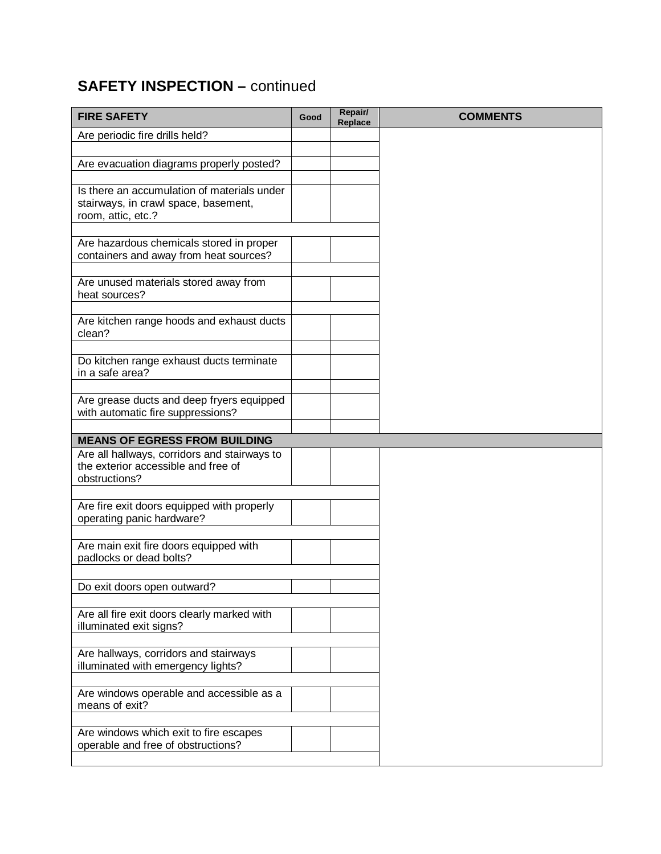# **SAFETY INSPECTION – continued**

| <b>FIRE SAFETY</b>                                                           | Good | Repair/<br>Replace | <b>COMMENTS</b> |
|------------------------------------------------------------------------------|------|--------------------|-----------------|
| Are periodic fire drills held?                                               |      |                    |                 |
|                                                                              |      |                    |                 |
| Are evacuation diagrams properly posted?                                     |      |                    |                 |
| Is there an accumulation of materials under                                  |      |                    |                 |
| stairways, in crawl space, basement,                                         |      |                    |                 |
| room, attic, etc.?                                                           |      |                    |                 |
|                                                                              |      |                    |                 |
| Are hazardous chemicals stored in proper                                     |      |                    |                 |
| containers and away from heat sources?                                       |      |                    |                 |
| Are unused materials stored away from                                        |      |                    |                 |
| heat sources?                                                                |      |                    |                 |
|                                                                              |      |                    |                 |
| Are kitchen range hoods and exhaust ducts<br>clean?                          |      |                    |                 |
|                                                                              |      |                    |                 |
| Do kitchen range exhaust ducts terminate                                     |      |                    |                 |
| in a safe area?                                                              |      |                    |                 |
|                                                                              |      |                    |                 |
| Are grease ducts and deep fryers equipped                                    |      |                    |                 |
| with automatic fire suppressions?                                            |      |                    |                 |
| <b>MEANS OF EGRESS FROM BUILDING</b>                                         |      |                    |                 |
| Are all hallways, corridors and stairways to                                 |      |                    |                 |
| the exterior accessible and free of                                          |      |                    |                 |
| obstructions?                                                                |      |                    |                 |
| Are fire exit doors equipped with properly                                   |      |                    |                 |
| operating panic hardware?                                                    |      |                    |                 |
|                                                                              |      |                    |                 |
| Are main exit fire doors equipped with                                       |      |                    |                 |
| padlocks or dead bolts?                                                      |      |                    |                 |
| Do exit doors open outward?                                                  |      |                    |                 |
|                                                                              |      |                    |                 |
| Are all fire exit doors clearly marked with                                  |      |                    |                 |
| illuminated exit signs?                                                      |      |                    |                 |
|                                                                              |      |                    |                 |
| Are hallways, corridors and stairways<br>illuminated with emergency lights?  |      |                    |                 |
|                                                                              |      |                    |                 |
| Are windows operable and accessible as a                                     |      |                    |                 |
| means of exit?                                                               |      |                    |                 |
|                                                                              |      |                    |                 |
| Are windows which exit to fire escapes<br>operable and free of obstructions? |      |                    |                 |
|                                                                              |      |                    |                 |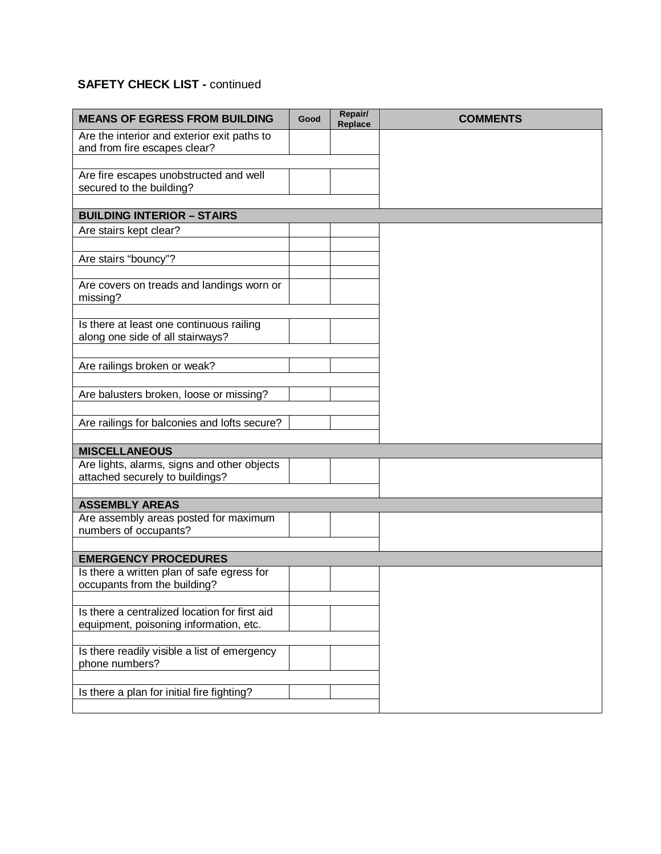## **SAFETY CHECK LIST - continued**

| <b>MEANS OF EGRESS FROM BUILDING</b>                                         | Good | Repair/<br>Replace | <b>COMMENTS</b> |
|------------------------------------------------------------------------------|------|--------------------|-----------------|
| Are the interior and exterior exit paths to<br>and from fire escapes clear?  |      |                    |                 |
|                                                                              |      |                    |                 |
| Are fire escapes unobstructed and well<br>secured to the building?           |      |                    |                 |
|                                                                              |      |                    |                 |
| <b>BUILDING INTERIOR - STAIRS</b>                                            |      |                    |                 |
| Are stairs kept clear?                                                       |      |                    |                 |
| Are stairs "bouncy"?                                                         |      |                    |                 |
|                                                                              |      |                    |                 |
| Are covers on treads and landings worn or<br>missing?                        |      |                    |                 |
|                                                                              |      |                    |                 |
| Is there at least one continuous railing<br>along one side of all stairways? |      |                    |                 |
|                                                                              |      |                    |                 |
| Are railings broken or weak?                                                 |      |                    |                 |
| Are balusters broken, loose or missing?                                      |      |                    |                 |
|                                                                              |      |                    |                 |
| Are railings for balconies and lofts secure?                                 |      |                    |                 |
| <b>MISCELLANEOUS</b>                                                         |      |                    |                 |
| Are lights, alarms, signs and other objects                                  |      |                    |                 |
| attached securely to buildings?                                              |      |                    |                 |
| <b>ASSEMBLY AREAS</b>                                                        |      |                    |                 |
| Are assembly areas posted for maximum                                        |      |                    |                 |
| numbers of occupants?                                                        |      |                    |                 |
| <b>EMERGENCY PROCEDURES</b>                                                  |      |                    |                 |
| Is there a written plan of safe egress for                                   |      |                    |                 |
| occupants from the building?                                                 |      |                    |                 |
| Is there a centralized location for first aid                                |      |                    |                 |
| equipment, poisoning information, etc.                                       |      |                    |                 |
| Is there readily visible a list of emergency                                 |      |                    |                 |
| phone numbers?                                                               |      |                    |                 |
|                                                                              |      |                    |                 |
| Is there a plan for initial fire fighting?                                   |      |                    |                 |